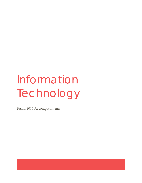# Information Technology

FALL 2017 Accomplishments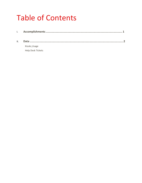# **Table of Contents**

| II. |                   |  |
|-----|-------------------|--|
|     | Kiosks Usage      |  |
|     | Help Desk Tickets |  |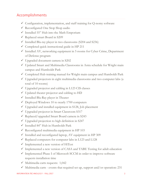# Accomplishments

- $\checkmark$  Configuration, implementation, and staff training for Q-nomy software
- $\checkmark$  Reconfigured One Stop Shop audio
- $\checkmark$  Installed 55" Hub into the Math Emporium
- $\checkmark$  Replaced smart Board in S209
- $\checkmark$  Installed Blu-ray player in two classrooms (S204 and S236)
- $\checkmark$  Completed quick instructional guide in HP 211
- $\checkmark$  Installed AV, networking equipment in 5 rooms for Cyber Crime, Department of Defense program
- $\checkmark$  Upgraded document camera in S202
- Updated Smart and Multimedia Classrooms in Astra schedule for Wright main campus and Humboldt Park
- $\checkmark$  Completed Hub training manual for Wright main campus and Humboldt Park
- $\checkmark$  Upgraded projectors in eight multimedia classrooms and two computer labs (a total of 10 rooms)
- $\checkmark$  Upgraded projector and cabling in L123 CIS classes
- Updated theater projector and cabling to HD
- $\checkmark$  Installed Blu-Ray player in Theater
- $\checkmark$  Deployed Windows 10 to nearly 1700 computers
- $\checkmark$  Upgraded and installed equipment in S128, Job placement
- Upgraded projector in Smart Classroom S317
- $\checkmark$  Replaced/upgraded Smart Board camera in S243
- $\checkmark$  Upgraded projection to high definition in S247
- $\checkmark$  Installed 84" Hub in Humboldt Park
- $\checkmark$  Reconfigured multimedia equipment in HP 103
- $\checkmark$  Installed and reconfigured laptop, AV equipment in HP 309
- $\checkmark$  Replaced computers for computer labs in L123 and L128
- $\checkmark$  Implemented a new version of HiTest
- $\checkmark$  Implemented a new version of CASA and TABE Testing for adult education
- $\checkmark$  Implemented Phase I of Microsoft SCCM in order to improve software requests installation time
- $\checkmark$  Multimedia carts requests: 1,042
- $\checkmark$  Multimedia carts events that required set up, support and/or operation: 231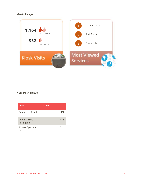#### **Kiosks Usage**



#### **Help Desk Tickets**

| Item                              | Value           |
|-----------------------------------|-----------------|
| <b>Completed Tickets</b>          | 1,448           |
| <b>Average Time</b><br>Resolution | 12 <sub>h</sub> |
| Tickets Open > 3<br>days          | 11.7%           |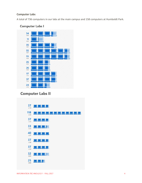#### **Computer Labs**

A total of 736 computers in our labs at the main campus and 158 computers at Humboldt Park.

### **Computer Labs I**



# **Computer Labs II**